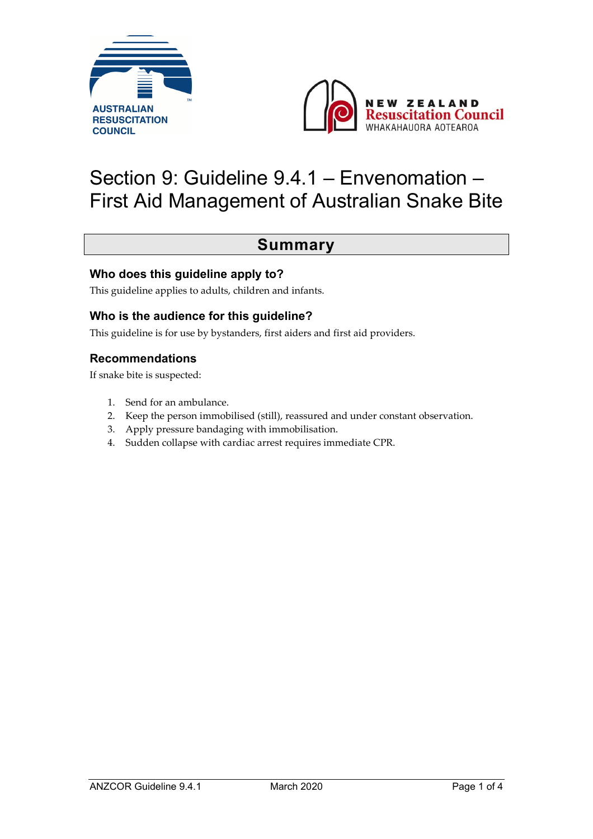



# Section 9: Guideline 9.4.1 – Envenomation – First Aid Management of Australian Snake Bite

#### **Summary**

#### **Who does this guideline apply to?**

This guideline applies to adults, children and infants.

#### **Who is the audience for this guideline?**

This guideline is for use by bystanders, first aiders and first aid providers.

#### **Recommendations**

If snake bite is suspected:

- 1. Send for an ambulance.
- 2. Keep the person immobilised (still), reassured and under constant observation.
- 3. Apply pressure bandaging with immobilisation.
- 4. Sudden collapse with cardiac arrest requires immediate CPR.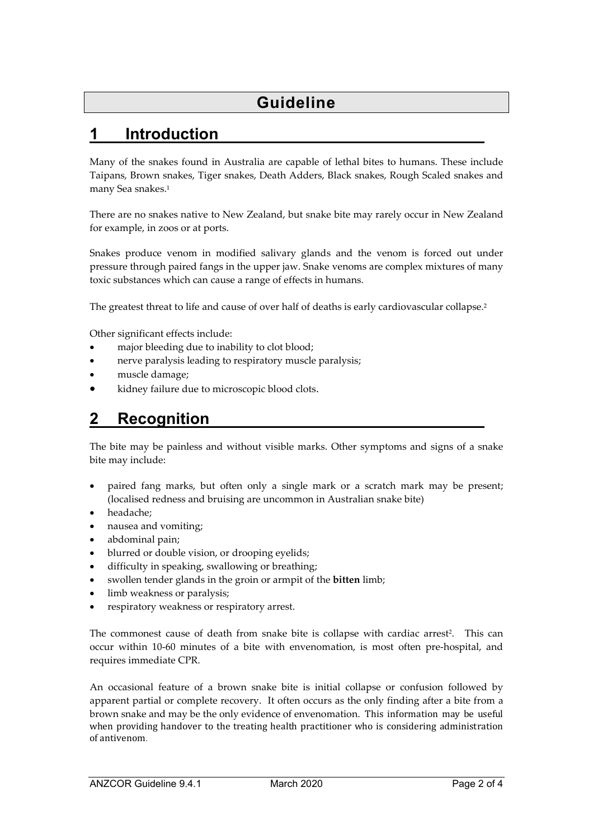## **1 Introduction**

Many of the snakes found in Australia are capable of lethal bites to humans. These include Taipans, Brown snakes, Tiger snakes, Death Adders, Black snakes, Rough Scaled snakes and many Sea snakes.<sup>1</sup>

There are no snakes native to New Zealand, but snake bite may rarely occur in New Zealand for example, in zoos or at ports.

Snakes produce venom in modified salivary glands and the venom is forced out under pressure through paired fangs in the upper jaw. Snake venoms are complex mixtures of many toxic substances which can cause a range of effects in humans.

The greatest threat to life and cause of over half of deaths is early cardiovascular collapse.2

Other significant effects include:

- major bleeding due to inability to clot blood;
- nerve paralysis leading to respiratory muscle paralysis;
- muscle damage;
- kidney failure due to microscopic blood clots.

#### **2 Recognition**

The bite may be painless and without visible marks. Other symptoms and signs of a snake bite may include:

- paired fang marks, but often only a single mark or a scratch mark may be present; (localised redness and bruising are uncommon in Australian snake bite)
- headache;
- nausea and vomiting;
- abdominal pain;
- blurred or double vision, or drooping eyelids;
- difficulty in speaking, swallowing or breathing;
- swollen tender glands in the groin or armpit of the **bitten** limb;
- limb weakness or paralysis;
- respiratory weakness or respiratory arrest.

The commonest cause of death from snake bite is collapse with cardiac arrest<sup>2</sup>. This can occur within 10-60 minutes of a bite with envenomation, is most often pre-hospital, and requires immediate CPR.

An occasional feature of a brown snake bite is initial collapse or confusion followed by apparent partial or complete recovery. It often occurs as the only finding after a bite from a brown snake and may be the only evidence of envenomation. This information may be useful when providing handover to the treating health practitioner who is considering administration of antivenom.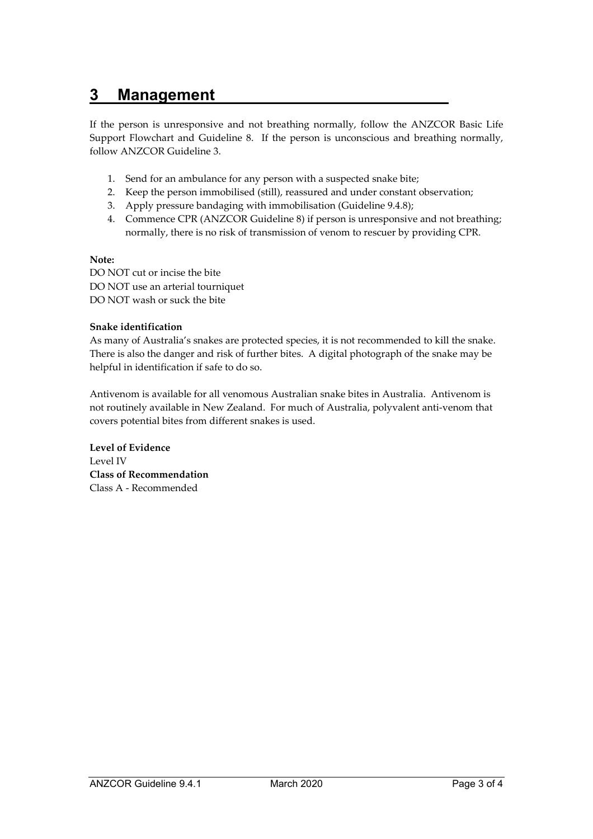#### **3 Management**

If the person is unresponsive and not breathing normally, follow the ANZCOR Basic Life Support Flowchart and Guideline 8. If the person is unconscious and breathing normally, follow ANZCOR Guideline 3.

- 1. Send for an ambulance for any person with a suspected snake bite;
- 2. Keep the person immobilised (still), reassured and under constant observation;
- 3. Apply pressure bandaging with immobilisation (Guideline 9.4.8);
- 4. Commence CPR (ANZCOR Guideline 8) if person is unresponsive and not breathing; normally, there is no risk of transmission of venom to rescuer by providing CPR.

#### **Note:**

DO NOT cut or incise the bite DO NOT use an arterial tourniquet DO NOT wash or suck the bite

#### **Snake identification**

As many of Australia's snakes are protected species, it is not recommended to kill the snake. There is also the danger and risk of further bites. A digital photograph of the snake may be helpful in identification if safe to do so.

Antivenom is available for all venomous Australian snake bites in Australia. Antivenom is not routinely available in New Zealand. For much of Australia, polyvalent anti-venom that covers potential bites from different snakes is used.

**Level of Evidence**  Level IV **Class of Recommendation**  Class A - Recommended